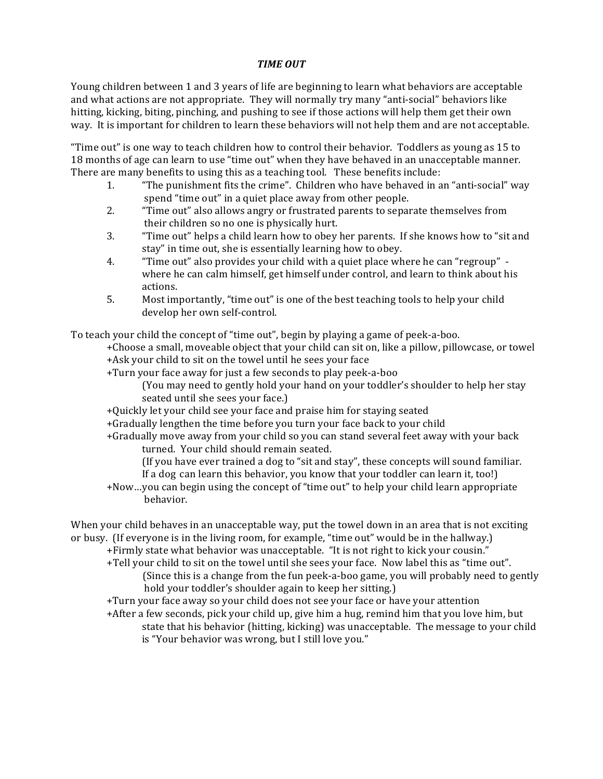## *TIME OUT*

Young children between 1 and 3 years of life are beginning to learn what behaviors are acceptable and what actions are not appropriate. They will normally try many "anti-social" behaviors like hitting, kicking, biting, pinching, and pushing to see if those actions will help them get their own way. It is important for children to learn these behaviors will not help them and are not acceptable.

"Time out" is one way to teach children how to control their behavior. Toddlers as young as 15 to 18 months of age can learn to use "time out" when they have behaved in an unacceptable manner. There are many benefits to using this as a teaching tool. These benefits include:

- 1. "The punishment fits the crime". Children who have behaved in an "anti-social" way spend "time out" in a quiet place away from other people.
- 2. "Time out" also allows angry or frustrated parents to separate themselves from their children so no one is physically hurt.
- 3. "Time out" helps a child learn how to obey her parents. If she knows how to "sit and stay" in time out, she is essentially learning how to obey.
- 4. "Time out" also provides your child with a quiet place where he can "regroup" where he can calm himself, get himself under control, and learn to think about his actions.
- 5. Most importantly, "time out" is one of the best teaching tools to help your child develop her own self-control.

To teach your child the concept of "time out", begin by playing a game of peek-a-boo.

- +Choose a small, moveable object that your child can sit on, like a pillow, pillowcase, or towel +Ask your child to sit on the towel until he sees your face
- +Turn your face away for just a few seconds to play peek-a-boo
	- (You may need to gently hold your hand on your toddler's shoulder to help her stay seated until she sees your face.)
- +Quickly let your child see your face and praise him for staying seated
- +Gradually lengthen the time before you turn your face back to your child
- +Gradually move away from your child so you can stand several feet away with your back turned. Your child should remain seated.
	- (If you have ever trained a dog to "sit and stay", these concepts will sound familiar. If a dog can learn this behavior, you know that your toddler can learn it, too!)
- +Now...you can begin using the concept of "time out" to help your child learn appropriate behavior.

When your child behaves in an unacceptable way, put the towel down in an area that is not exciting or busy. (If everyone is in the living room, for example, "time out" would be in the hallway.)

- +Firmly state what behavior was unacceptable. "It is not right to kick your cousin."
- +Tell your child to sit on the towel until she sees your face. Now label this as "time out". (Since this is a change from the fun peek-a-boo game, you will probably need to gently hold your toddler's shoulder again to keep her sitting.)
- +Turn your face away so your child does not see your face or have your attention
- +After a few seconds, pick your child up, give him a hug, remind him that you love him, but state that his behavior (hitting, kicking) was unacceptable. The message to your child is "Your behavior was wrong, but I still love you."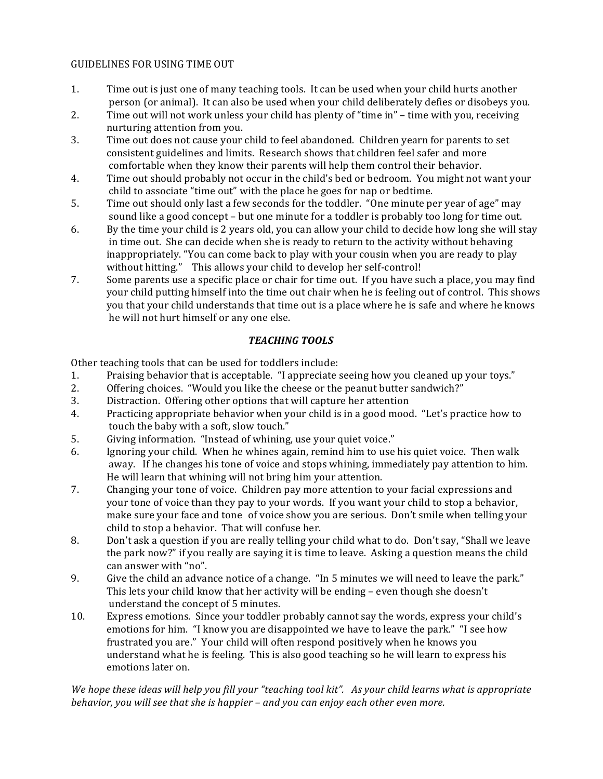## GUIDELINES FOR USING TIME OUT

- 1. Time out is just one of many teaching tools. It can be used when your child hurts another person (or animal). It can also be used when your child deliberately defies or disobeys you.
- 2. Time out will not work unless your child has plenty of "time in" time with you, receiving nurturing attention from you.
- 3. Time out does not cause your child to feel abandoned. Children yearn for parents to set consistent guidelines and limits. Research shows that children feel safer and more comfortable when they know their parents will help them control their behavior.
- 4. Time out should probably not occur in the child's bed or bedroom. You might not want your child to associate "time out" with the place he goes for nap or bedtime.
- 5. Time out should only last a few seconds for the toddler. "One minute per year of age" may sound like a good concept - but one minute for a toddler is probably too long for time out.
- 6. By the time your child is 2 years old, you can allow your child to decide how long she will stay in time out. She can decide when she is ready to return to the activity without behaving inappropriately. "You can come back to play with your cousin when you are ready to play without hitting." This allows your child to develop her self-control!
- 7. Some parents use a specific place or chair for time out. If you have such a place, you may find your child putting himself into the time out chair when he is feeling out of control. This shows you that your child understands that time out is a place where he is safe and where he knows he will not hurt himself or any one else.

## *TEACHING TOOLS*

Other teaching tools that can be used for toddlers include:

- 1. Praising behavior that is acceptable. "I appreciate seeing how you cleaned up your toys."
- 2. Offering choices. "Would you like the cheese or the peanut butter sandwich?"
- 3. Distraction. Offering other options that will capture her attention
- 4. Practicing appropriate behavior when your child is in a good mood. "Let's practice how to touch the baby with a soft, slow touch."
- 5. Giving information. "Instead of whining, use your quiet voice."
- 6. Ignoring your child. When he whines again, remind him to use his quiet voice. Then walk away. If he changes his tone of voice and stops whining, immediately pay attention to him. He will learn that whining will not bring him your attention.
- 7. Changing your tone of voice. Children pay more attention to your facial expressions and your tone of voice than they pay to your words. If you want your child to stop a behavior, make sure your face and tone of voice show you are serious. Don't smile when telling your child to stop a behavior. That will confuse her.
- 8. Don't ask a question if you are really telling your child what to do. Don't say, "Shall we leave the park now?" if you really are saying it is time to leave. Asking a question means the child can answer with "no".
- 9. Give the child an advance notice of a change. "In 5 minutes we will need to leave the park." This lets your child know that her activity will be ending - even though she doesn't understand the concept of 5 minutes.
- 10. Express emotions. Since your toddler probably cannot say the words, express your child's emotions for him. "I know you are disappointed we have to leave the park." "I see how frustrated you are." Your child will often respond positively when he knows you understand what he is feeling. This is also good teaching so he will learn to express his emotions later on.

We hope these ideas will help you fill your "teaching tool kit". As your child learns what is appropriate *behavior, you will see that she is happier* – and you can enjoy each other even more.